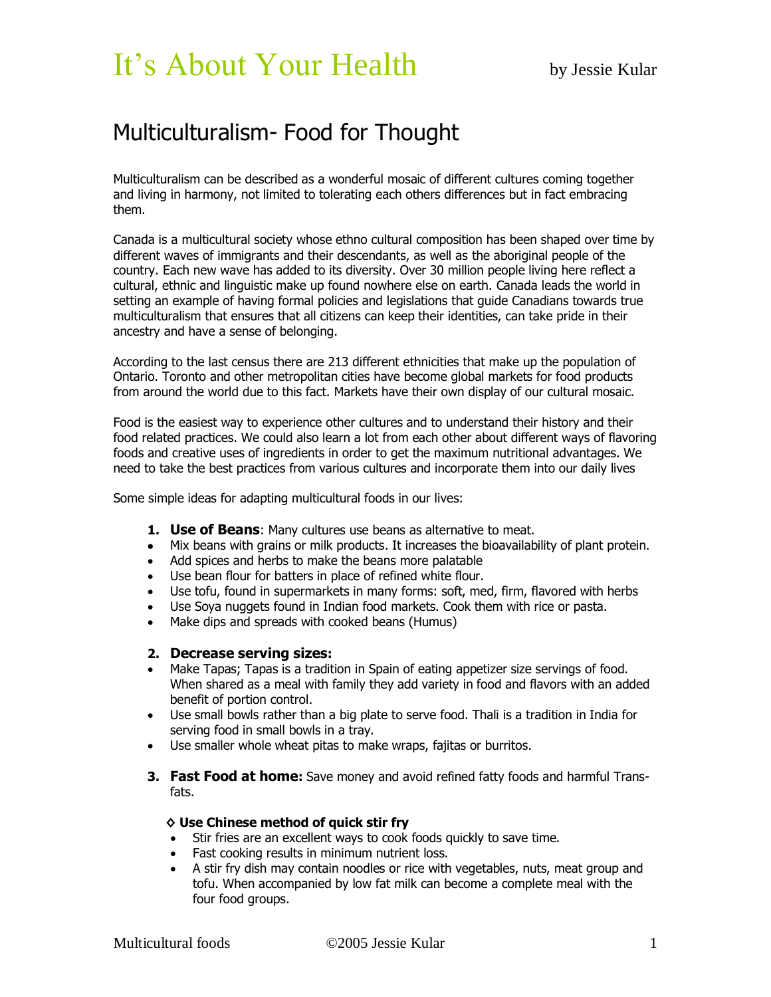# It's About Your Health by Jessie Kular

# Multiculturalism- Food for Thought

Multiculturalism can be described as a wonderful mosaic of different cultures coming together and living in harmony, not limited to tolerating each others differences but in fact embracing them.

Canada is a multicultural society whose ethno cultural composition has been shaped over time by different waves of immigrants and their descendants, as well as the aboriginal people of the country. Each new wave has added to its diversity. Over 30 million people living here reflect a cultural, ethnic and linguistic make up found nowhere else on earth. Canada leads the world in setting an example of having formal policies and legislations that guide Canadians towards true multiculturalism that ensures that all citizens can keep their identities, can take pride in their ancestry and have a sense of belonging.

According to the last census there are 213 different ethnicities that make up the population of Ontario. Toronto and other metropolitan cities have become global markets for food products from around the world due to this fact. Markets have their own display of our cultural mosaic.

Food is the easiest way to experience other cultures and to understand their history and their food related practices. We could also learn a lot from each other about different ways of flavoring foods and creative uses of ingredients in order to get the maximum nutritional advantages. We need to take the best practices from various cultures and incorporate them into our daily lives

Some simple ideas for adapting multicultural foods in our lives:

- **1. Use of Beans**: Many cultures use beans as alternative to meat.
- Mix beans with grains or milk products. It increases the bioavailability of plant protein.
- Add spices and herbs to make the beans more palatable
- Use bean flour for batters in place of refined white flour.
- Use tofu, found in supermarkets in many forms: soft, med, firm, flavored with herbs
- Use Soya nuggets found in Indian food markets. Cook them with rice or pasta.
- Make dips and spreads with cooked beans (Humus)

## **2. Decrease serving sizes:**

- Make Tapas; Tapas is a tradition in Spain of eating appetizer size servings of food. When shared as a meal with family they add variety in food and flavors with an added benefit of portion control.
- Use small bowls rather than a big plate to serve food. Thali is a tradition in India for serving food in small bowls in a tray.
- Use smaller whole wheat pitas to make wraps, fajitas or burritos.
- **3. Fast Food at home:** Save money and avoid refined fatty foods and harmful Transfats.

#### **◊ Use Chinese method of quick stir fry**

- Stir fries are an excellent ways to cook foods quickly to save time.
- Fast cooking results in minimum nutrient loss.
- A stir fry dish may contain noodles or rice with vegetables, nuts, meat group and tofu. When accompanied by low fat milk can become a complete meal with the four food groups.